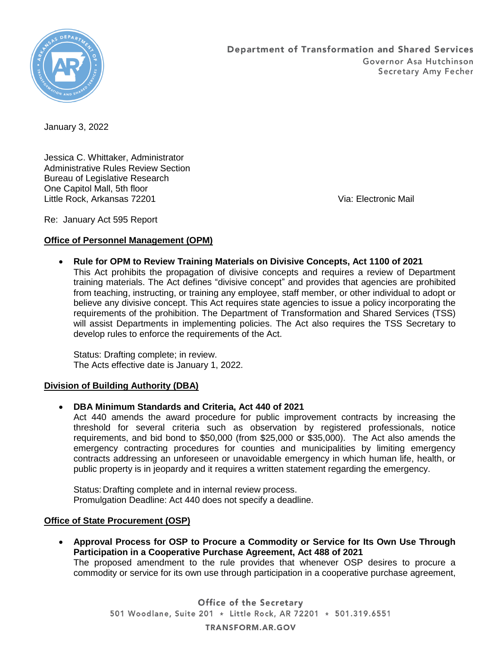

January 3, 2022

Jessica C. Whittaker, Administrator Administrative Rules Review Section Bureau of Legislative Research One Capitol Mall, 5th floor Little Rock, Arkansas 72201 Via: Electronic Mail

Re: January Act 595 Report

## **Office of Personnel Management (OPM)**

 **Rule for OPM to Review Training Materials on Divisive Concepts, Act 1100 of 2021** This Act prohibits the propagation of divisive concepts and requires a review of Department training materials. The Act defines "divisive concept" and provides that agencies are prohibited from teaching, instructing, or training any employee, staff member, or other individual to adopt or believe any divisive concept. This Act requires state agencies to issue a policy incorporating the requirements of the prohibition. The Department of Transformation and Shared Services (TSS) will assist Departments in implementing policies. The Act also requires the TSS Secretary to develop rules to enforce the requirements of the Act.

Status: Drafting complete; in review. The Acts effective date is January 1, 2022.

## **Division of Building Authority (DBA)**

**DBA Minimum Standards and Criteria, Act 440 of 2021**

Act 440 amends the award procedure for public improvement contracts by increasing the threshold for several criteria such as observation by registered professionals, notice requirements, and bid bond to \$50,000 (from \$25,000 or \$35,000). The Act also amends the emergency contracting procedures for counties and municipalities by limiting emergency contracts addressing an unforeseen or unavoidable emergency in which human life, health, or public property is in jeopardy and it requires a written statement regarding the emergency.

Status: Drafting complete and in internal review process. Promulgation Deadline: Act 440 does not specify a deadline.

## **Office of State Procurement (OSP)**

 **Approval Process for OSP to Procure a Commodity or Service for Its Own Use Through Participation in a Cooperative Purchase Agreement, Act 488 of 2021** The proposed amendment to the rule provides that whenever OSP desires to procure a commodity or service for its own use through participation in a cooperative purchase agreement,